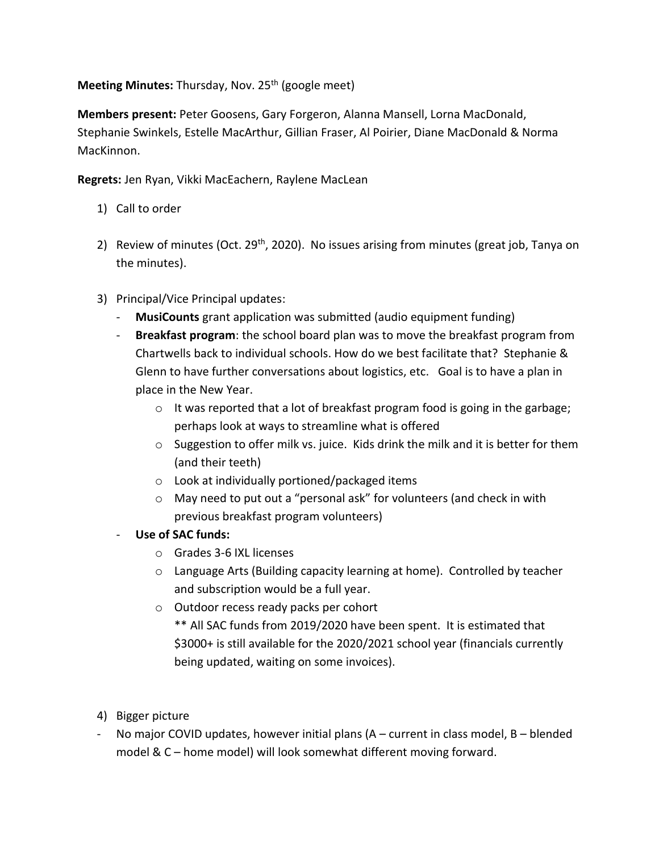Meeting Minutes: Thursday, Nov. 25<sup>th</sup> (google meet)

**Members present:** Peter Goosens, Gary Forgeron, Alanna Mansell, Lorna MacDonald, Stephanie Swinkels, Estelle MacArthur, Gillian Fraser, Al Poirier, Diane MacDonald & Norma MacKinnon.

**Regrets:** Jen Ryan, Vikki MacEachern, Raylene MacLean

- 1) Call to order
- 2) Review of minutes (Oct. 29<sup>th</sup>, 2020). No issues arising from minutes (great job, Tanya on the minutes).
- 3) Principal/Vice Principal updates:
	- **MusiCounts** grant application was submitted (audio equipment funding)
	- **Breakfast program**: the school board plan was to move the breakfast program from Chartwells back to individual schools. How do we best facilitate that? Stephanie & Glenn to have further conversations about logistics, etc. Goal is to have a plan in place in the New Year.
		- $\circ$  It was reported that a lot of breakfast program food is going in the garbage; perhaps look at ways to streamline what is offered
		- $\circ$  Suggestion to offer milk vs. juice. Kids drink the milk and it is better for them (and their teeth)
		- o Look at individually portioned/packaged items
		- o May need to put out a "personal ask" for volunteers (and check in with previous breakfast program volunteers)
	- **Use of SAC funds:**
		- o Grades 3-6 IXL licenses
		- o Language Arts (Building capacity learning at home). Controlled by teacher and subscription would be a full year.
		- o Outdoor recess ready packs per cohort
			- \*\* All SAC funds from 2019/2020 have been spent. It is estimated that \$3000+ is still available for the 2020/2021 school year (financials currently being updated, waiting on some invoices).
- 4) Bigger picture
- No major COVID updates, however initial plans  $(A current in class model, B blended$ model & C – home model) will look somewhat different moving forward.